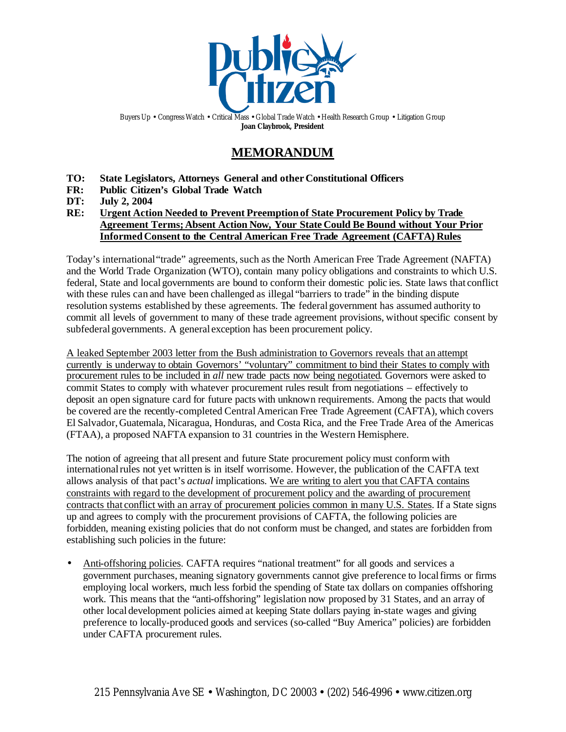

Buyers Up • Congress Watch • Critical Mass • Global Trade Watch • Health Research Group • Litigation Group **Joan Claybrook, President**

# **MEMORANDUM**

- **TO: State Legislators, Attorneys General and other Constitutional Officers**
- **FR: Public Citizen's Global Trade Watch**
- **DT: July 2, 2004**
- **RE: Urgent Action Needed to Prevent Preemptionof State Procurement Policy by Trade Agreement Terms;Absent Action Now, Your State Could Be Bound without Your Prior InformedConsent to the Central American Free Trade Agreement (CAFTA) Rules**

Today's international "trade" agreements, such as the North American Free Trade Agreement (NAFTA) and the World Trade Organization (WTO), contain many policy obligations and constraints to which U.S. federal, State and local governments are bound to conform their domestic polic ies. State laws that conflict with these rules can and have been challenged as illegal "barriers to trade" in the binding dispute resolution systems established by these agreements. The federal government has assumed authority to commit all levels of government to many of these trade agreement provisions, without specific consent by subfederal governments. A general exception has been procurement policy.

A leaked September 2003 letter from the Bush administration to Governors reveals that an attempt currently is underway to obtain Governors' "voluntary" commitment to bind their States to comply with procurement rules to be included in *all* new trade pacts now being negotiated. Governors were asked to commit States to comply with whatever procurement rules result from negotiations – effectively to deposit an open signature card for future pacts with unknown requirements. Among the pacts that would be covered are the recently-completed CentralAmerican Free Trade Agreement (CAFTA), which covers El Salvador,Guatemala, Nicaragua, Honduras, and Costa Rica, and the Free Trade Area of the Americas (FTAA), a proposed NAFTA expansion to 31 countries in the Western Hemisphere.

The notion of agreeing that all present and future State procurement policy must conform with internationalrules not yet written is in itself worrisome. However, the publication of the CAFTA text allows analysis of that pact's *actual* implications. We are writing to alert you that CAFTA contains constraints with regard to the development of procurement policy and the awarding of procurement contracts that conflict with an array of procurement policies common in many U.S. States. If a State signs up and agrees to comply with the procurement provisions of CAFTA, the following policies are forbidden, meaning existing policies that do not conform must be changed, and states are forbidden from establishing such policies in the future:

• Anti-offshoring policies. CAFTA requires "national treatment" for all goods and services a government purchases, meaning signatory governments cannot give preference to localfirms or firms employing local workers, much less forbid the spending of State tax dollars on companies offshoring work. This means that the "anti-offshoring" legislation now proposed by 31 States, and an array of other local development policies aimed at keeping State dollars paying in-state wages and giving preference to locally-produced goods and services (so-called "Buy America" policies) are forbidden under CAFTA procurement rules.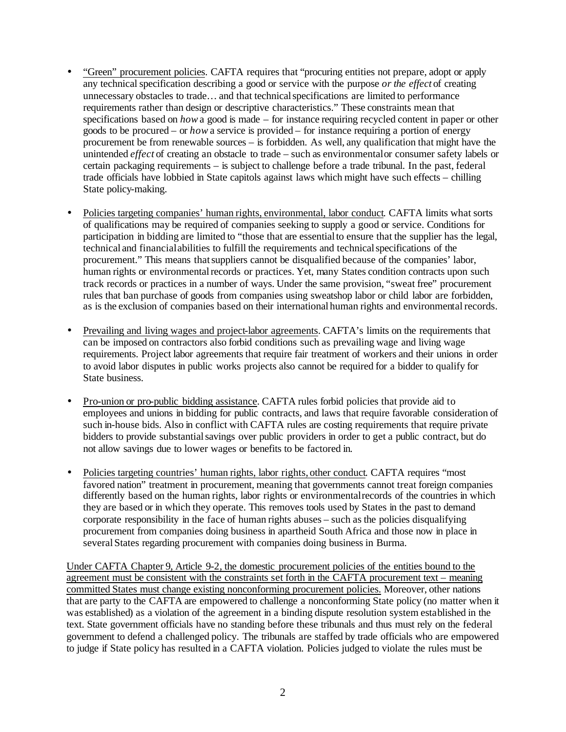- "Green" procurement policies. CAFTA requires that "procuring entities not prepare, adopt or apply any technical specification describing a good or service with the purpose *or the effect* of creating unnecessary obstacles to trade... and that technical specifications are limited to performance requirements rather than design or descriptive characteristics." These constraints mean that specifications based on *how*a good is made – for instance requiring recycled content in paper or other goods to be procured – or *how* a service is provided – for instance requiring a portion of energy procurement be from renewable sources – is forbidden. As well, any qualification that might have the unintended *effect* of creating an obstacle to trade – such as environmentalor consumer safety labels or certain packaging requirements – is subject to challenge before a trade tribunal. In the past, federal trade officials have lobbied in State capitols against laws which might have such effects – chilling State policy-making.
- Policies targeting companies' human rights, environmental, labor conduct. CAFTA limits what sorts of qualifications may be required of companies seeking to supply a good or service. Conditions for participation in bidding are limited to "those that are essentialto ensure that the supplier has the legal, technical and financialabilities to fulfill the requirements and technicalspecifications of the procurement." This means that suppliers cannot be disqualified because of the companies' labor, human rights or environmental records or practices. Yet, many States condition contracts upon such track records or practices in a number of ways. Under the same provision, "sweat free" procurement rules that ban purchase of goods from companies using sweatshop labor or child labor are forbidden, as is the exclusion of companies based on their international human rights and environmental records.
- Prevailing and living wages and project-labor agreements. CAFTA's limits on the requirements that can be imposed on contractors also forbid conditions such as prevailing wage and living wage requirements. Project labor agreements that require fair treatment of workers and their unions in order to avoid labor disputes in public works projects also cannot be required for a bidder to qualify for State business.
- Pro-union or pro-public bidding assistance. CAFTA rules forbid policies that provide aid to employees and unions in bidding for public contracts, and laws that require favorable consideration of such in-house bids. Also in conflict with CAFTA rules are costing requirements that require private bidders to provide substantialsavings over public providers in order to get a public contract, but do not allow savings due to lower wages or benefits to be factored in.
- Policies targeting countries' human rights, labor rights, other conduct. CAFTA requires "most" favored nation" treatment in procurement, meaning that governments cannot treat foreign companies differently based on the human rights, labor rights or environmentalrecords of the countries in which they are based or in which they operate. This removes tools used by States in the past to demand corporate responsibility in the face of human rights abuses – such as the policies disqualifying procurement from companies doing business in apartheid South Africa and those now in place in several States regarding procurement with companies doing business in Burma.

Under CAFTA Chapter 9, Article 9-2, the domestic procurement policies of the entities bound to the agreement must be consistent with the constraints set forth in the CAFTA procurement text – meaning committed States must change existing nonconforming procurement policies. Moreover, other nations that are party to the CAFTA are empowered to challenge a nonconforming State policy (no matter when it was established) as a violation of the agreement in a binding dispute resolution system established in the text. State government officials have no standing before these tribunals and thus must rely on the federal government to defend a challenged policy. The tribunals are staffed by trade officials who are empowered to judge if State policy has resulted in a CAFTA violation. Policies judged to violate the rules must be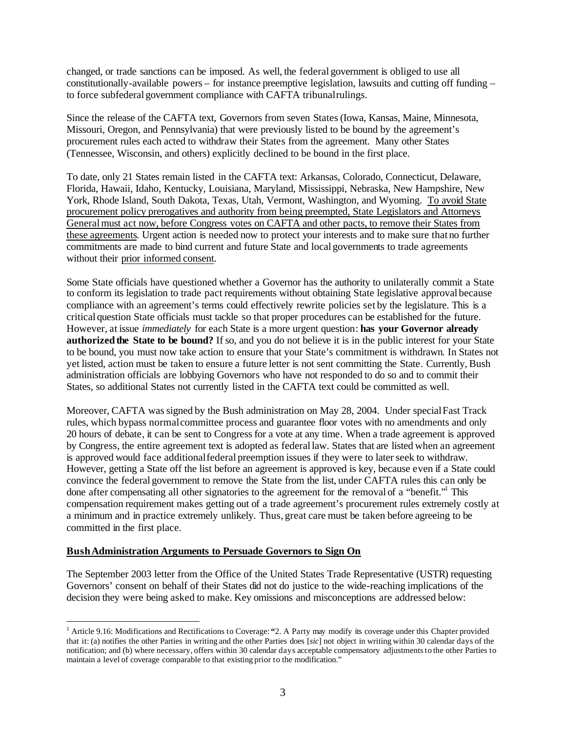changed, or trade sanctions can be imposed. As well, the federal government is obliged to use all constitutionally-available powers – for instance preemptive legislation, lawsuits and cutting off funding – to force subfederal government compliance with CAFTA tribunalrulings.

Since the release of the CAFTA text, Governors from seven States (Iowa, Kansas, Maine, Minnesota, Missouri, Oregon, and Pennsylvania) that were previously listed to be bound by the agreement's procurement rules each acted to withdraw their States from the agreement. Many other States (Tennessee, Wisconsin, and others) explicitly declined to be bound in the first place.

To date, only 21 States remain listed in the CAFTA text: Arkansas, Colorado, Connecticut, Delaware, Florida, Hawaii, Idaho, Kentucky, Louisiana, Maryland, Mississippi, Nebraska, New Hampshire, New York, Rhode Island, South Dakota, Texas, Utah, Vermont, Washington, and Wyoming. To avoid State procurement policy prerogatives and authority from being preempted, State Legislators and Attorneys Generalmust act now, before Congress votes on CAFTA and other pacts, to remove their States from these agreements. Urgent action is needed now to protect your interests and to make sure that no further commitments are made to bind current and future State and local governments to trade agreements without their prior informed consent.

Some State officials have questioned whether a Governor has the authority to unilaterally commit a State to conform its legislation to trade pact requirements without obtaining State legislative approval because compliance with an agreement's terms could effectively rewrite policies set by the legislature. This is a critical question State officials must tackle so that proper procedures can be established for the future. However, at issue *immediately* for each State is a more urgent question: **has your Governor already authorized the State to be bound?** If so, and you do not believe it is in the public interest for your State to be bound, you must now take action to ensure that your State's commitment is withdrawn. In States not yet listed, action must be taken to ensure a future letter is not sent committing the State. Currently, Bush administration officials are lobbying Governors who have not responded to do so and to commit their States, so additional States not currently listed in the CAFTA text could be committed as well.

Moreover, CAFTA wassigned by the Bush administration on May 28, 2004. Under special Fast Track rules, which bypass normalcommittee process and guarantee floor votes with no amendments and only 20 hours of debate, it can be sent to Congressfor a vote at any time. When a trade agreement is approved by Congress, the entire agreement text is adopted as federallaw. States that are listed when an agreement is approved would face additionalfederal preemption issues if they were to laterseek to withdraw. However, getting a State off the list before an agreement is approved is key, because even if a State could convince the federal government to remove the State from the list, under CAFTA rules this can only be done after compensating all other signatories to the agreement for the removal of a "benefit."<sup>1</sup> This compensation requirement makes getting out of a trade agreement's procurement rules extremely costly at a minimum and in practice extremely unlikely. Thus, great care must be taken before agreeing to be committed in the first place.

### **BushAdministration Arguments to Persuade Governors to Sign On**

 $\overline{a}$ 

The September 2003 letter from the Office of the United States Trade Representative (USTR) requesting Governors' consent on behalf of their States did not do justice to the wide-reaching implications of the decision they were being asked to make. Key omissions and misconceptions are addressed below:

<sup>1</sup> Article 9.16: Modifications and Rectifications to Coverage: **"**2. A Party may modify its coverage under this Chapter provided that it: (a) notifies the other Parties in writing and the other Parties does [*sic*] not object in writing within 30 calendar days of the notification; and (b) where necessary, offers within 30 calendar days acceptable compensatory adjustments to the other Parties to maintain a level of coverage comparable to that existing prior to the modification."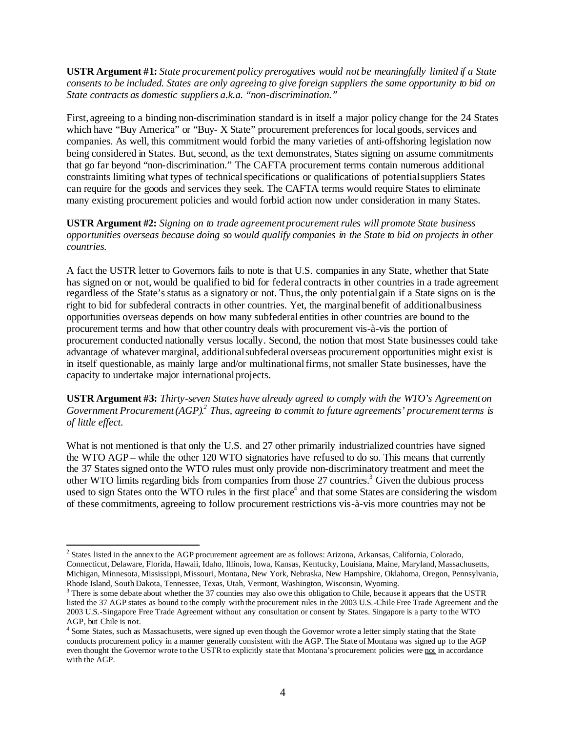**USTR Argument #1:** *State procurement policy prerogatives would not be meaningfully limited if a State consents to be included. States are only agreeing to give foreign suppliers the same opportunity to bid on State contracts as domestic suppliers a.k.a. "non-discrimination."*

First, agreeing to a binding non-discrimination standard is in itself a major policy change for the 24 States which have "Buy America" or "Buy- X State" procurement preferences for local goods, services and companies. As well, this commitment would forbid the many varieties of anti-offshoring legislation now being considered in States. But, second, as the text demonstrates, States signing on assume commitments that go far beyond "non-discrimination." The CAFTA procurement terms contain numerous additional constraints limiting what types of technical specifications or qualifications of potential suppliers States can require for the goods and services they seek. The CAFTA terms would require States to eliminate many existing procurement policies and would forbid action now under consideration in many States.

**USTR Argument #2:** *Signing on to trade agreement procurement rules will promote State business opportunities overseas because doing so would qualify companies in the State to bid on projects in other countries.*

A fact the USTR letter to Governors fails to note is that U.S. companies in any State, whether that State has signed on or not, would be qualified to bid for federal contracts in other countries in a trade agreement regardless of the State'sstatus as a signatory or not. Thus, the only potentialgain if a State signs on is the right to bid for subfederal contracts in other countries. Yet, the marginalbenefit of additionalbusiness opportunities overseas depends on how many subfederal entities in other countries are bound to the procurement terms and how that other country deals with procurement vis-à-vis the portion of procurement conducted nationally versus locally. Second, the notion that most State businesses could take advantage of whatever marginal, additionalsubfederal overseas procurement opportunities might exist is in itself questionable, as mainly large and/or multinational firms, not smaller State businesses, have the capacity to undertake major international projects.

**USTR Argument #3:** *Thirty-seven States have already agreed to comply with the WTO's Agreement on Government Procurement(AGP). 2 Thus, agreeing to commit to future agreements' procurementterms is of little effect.*

What is not mentioned is that only the U.S. and 27 other primarily industrialized countries have signed the WTO AGP – while the other 120 WTO signatories have refused to do so. This means that currently the 37 States signed onto the WTO rules must only provide non-discriminatory treatment and meet the other WTO limits regarding bids from companies from those 27 countries.<sup>3</sup> Given the dubious process used to sign States onto the WTO rules in the first place<sup>4</sup> and that some States are considering the wisdom of these commitments, agreeing to follow procurement restrictions vis-à-vis more countries may not be

 $\overline{a}$ 

<sup>2</sup> States listed in the annex to the AGP procurement agreement are as follows: Arizona, Arkansas, California, Colorado, Connecticut, Delaware, Florida, Hawaii, Idaho, Illinois, Iowa, Kansas, Kentucky, Louisiana, Maine, Maryland, Massachusetts, Michigan, Minnesota, Mississippi, Missouri, Montana, New York, Nebraska, New Hampshire, Oklahoma, Oregon, Pennsylvania, Rhode Island, South Dakota, Tennessee, Texas, Utah, Vermont, Washington, Wisconsin, Wyoming.

 $3$  There is some debate about whether the 37 counties may also owe this obligation to Chile, because it appears that the USTR listed the 37 AGP states as bound to the comply withthe procurement rules in the 2003 U.S.-Chile Free Trade Agreement and the 2003 U.S.-Singapore Free Trade Agreement without any consultation or consent by States. Singapore is a party to the WTO AGP, but Chile is not.

<sup>&</sup>lt;sup>4</sup> Some States, such as Massachusetts, were signed up even though the Governor wrote a letter simply stating that the State conducts procurement policy in a manner generally consistent with the AGP. The State of Montana was signed up to the AGP even thought the Governor wrote to the USTR to explicitly state that Montana's procurement policies were not in accordance with the AGP.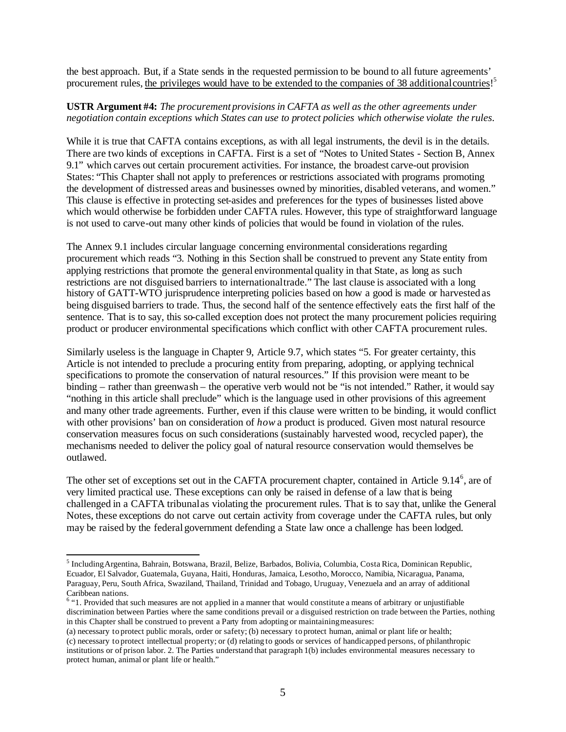the best approach. But, if a State sends in the requested permission to be bound to all future agreements' procurement rules, the privileges would have to be extended to the companies of 38 additional countries!<sup>5</sup>

#### **USTR Argument #4:** *The procurement provisions in CAFTA as well as the other agreements under negotiation contain exceptions which States can use to protect policies which otherwise violate the rules.*

While it is true that CAFTA contains exceptions, as with all legal instruments, the devil is in the details. There are two kinds of exceptions in CAFTA. First is a set of "Notes to United States - Section B, Annex 9.1" which carves out certain procurement activities. For instance, the broadest carve-out provision States: "This Chapter shall not apply to preferences or restrictions associated with programs promoting the development of distressed areas and businesses owned by minorities, disabled veterans, and women." This clause is effective in protecting set-asides and preferences for the types of businesses listed above which would otherwise be forbidden under CAFTA rules. However, this type of straightforward language is not used to carve-out many other kinds of policies that would be found in violation of the rules.

The Annex 9.1 includes circular language concerning environmental considerations regarding procurement which reads "3. Nothing in this Section shall be construed to prevent any State entity from applying restrictions that promote the general environmentalquality in that State, as long as such restrictions are not disguised barriers to internationaltrade." The last clause is associated with a long history of GATT-WTO jurisprudence interpreting policies based on how a good is made or harvested as being disguised barriers to trade. Thus, the second half of the sentence effectively eats the first half of the sentence. That is to say, this so-called exception does not protect the many procurement policies requiring product or producer environmental specifications which conflict with other CAFTA procurement rules.

Similarly useless is the language in Chapter 9, Article 9.7, which states "5. For greater certainty, this Article is not intended to preclude a procuring entity from preparing, adopting, or applying technical specifications to promote the conservation of natural resources." If this provision were meant to be binding – rather than greenwash – the operative verb would not be "is not intended." Rather, it would say "nothing in this article shall preclude" which is the language used in other provisions of this agreement and many other trade agreements. Further, even if this clause were written to be binding, it would conflict with other provisions' ban on consideration of *how* a product is produced. Given most natural resource conservation measures focus on such considerations (sustainably harvested wood, recycled paper), the mechanisms needed to deliver the policy goal of natural resource conservation would themselves be outlawed.

The other set of exceptions set out in the CAFTA procurement chapter, contained in Article 9.14<sup>6</sup>, are of very limited practical use. These exceptions can only be raised in defense of a law that is being challenged in a CAFTA tribunalas violating the procurement rules. That is to say that, unlike the General Notes, these exceptions do not carve out certain activity from coverage under the CAFTA rules, but only may be raised by the federal government defending a State law once a challenge has been lodged.

 $\overline{a}$ 

<sup>&</sup>lt;sup>5</sup> Including Argentina, Bahrain, Botswana, Brazil, Belize, Barbados, Bolivia, Columbia, Costa Rica, Dominican Republic, Ecuador, El Salvador, Guatemala, Guyana, Haiti, Honduras, Jamaica, Lesotho, Morocco, Namibia, Nicaragua, Panama, Paraguay, Peru, South Africa, Swaziland, Thailand, Trinidad and Tobago, Uruguay, Venezuela and an array of additional Caribbean nations. 6 "1. Provided that such measures are not applied in a manner that would constitute a means of arbitrary or unjustifiable

discrimination between Parties where the same conditions prevail or a disguised restriction on trade between the Parties, nothing in this Chapter shall be construed to prevent a Party from adopting or maintainingmeasures:

<sup>(</sup>a) necessary to protect public morals, order or safety; (b) necessary to protect human, animal or plant life or health; (c) necessary to protect intellectual property; or (d) relating to goods or services of handicapped persons, of philanthropic institutions or of prison labor. 2. The Parties understand that paragraph 1(b) includes environmental measures necessary to protect human, animal or plant life or health."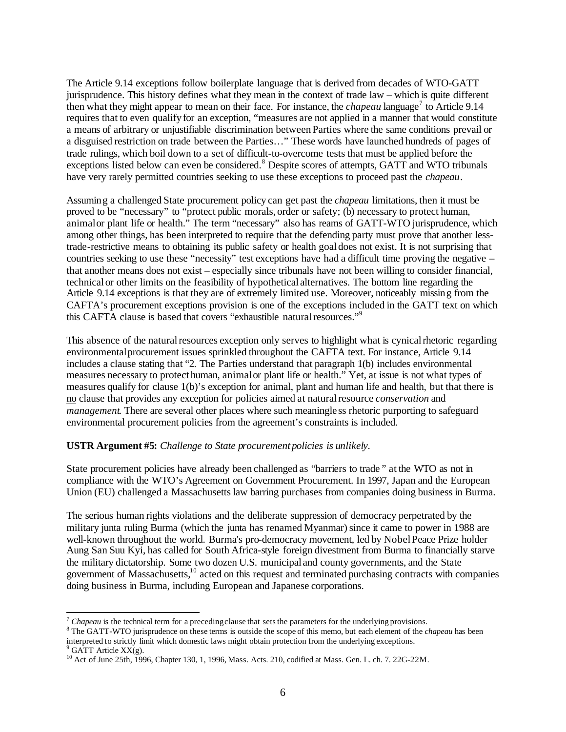The Article 9.14 exceptions follow boilerplate language that is derived from decades of WTO-GATT jurisprudence. This history defines what they mean in the context of trade law – which is quite different then what they might appear to mean on their face. For instance, the *chapeau* language<sup>7</sup> to Article 9.14 requires that to even qualify for an exception, "measures are not applied in a manner that would constitute a means of arbitrary or unjustifiable discrimination between Parties where the same conditions prevail or a disguised restriction on trade between the Parties…" These words have launched hundreds of pages of trade rulings, which boil down to a set of difficult-to-overcome tests that must be applied before the exceptions listed below can even be considered.<sup>8</sup> Despite scores of attempts, GATT and WTO tribunals have very rarely permitted countries seeking to use these exceptions to proceed past the *chapeau*.

Assuming a challenged State procurement policy can get past the *chapeau* limitations, then it must be proved to be "necessary" to "protect public morals, order or safety; (b) necessary to protect human, animalor plant life or health." The term "necessary" also has reams of GATT-WTO jurisprudence, which among other things, has been interpreted to require that the defending party must prove that another lesstrade-restrictive means to obtaining its public safety or health goal does not exist. It is not surprising that countries seeking to use these "necessity" test exceptions have had a difficult time proving the negative – that another means does not exist – especially since tribunals have not been willing to consider financial, technical or other limits on the feasibility of hypothetical alternatives. The bottom line regarding the Article 9.14 exceptions is that they are of extremely limited use. Moreover, noticeably missing from the CAFTA's procurement exceptions provision is one of the exceptions included in the GATT text on which this CAFTA clause is based that covers "exhaustible natural resources."<sup>9</sup>

This absence of the natural resources exception only serves to highlight what is cynical rhetoric regarding environmentalprocurement issues sprinkled throughout the CAFTA text. For instance, Article 9.14 includes a clause stating that "2. The Parties understand that paragraph 1(b) includes environmental measures necessary to protect human, animalor plant life or health." Yet, at issue is not what types of measures qualify for clause 1(b)'s exception for animal, plant and human life and health, but that there is no clause that provides any exception for policies aimed at naturalresource *conservation* and *management.* There are several other places where such meaningle ss rhetoric purporting to safeguard environmental procurement policies from the agreement's constraints is included.

#### **USTR Argument #5:** *Challenge to State procurement policies is unlikely.*

State procurement policies have already been challenged as "barriers to trade*"* at the WTO as not in compliance with the WTO's Agreement on Government Procurement. In 1997, Japan and the European Union (EU) challenged a Massachusetts law barring purchases from companies doing business in Burma.

The serious human rights violations and the deliberate suppression of democracy perpetrated by the military junta ruling Burma (which the junta has renamed Myanmar)since it came to power in 1988 are well-known throughout the world. Burma's pro-democracy movement, led by NobelPeace Prize holder Aung San Suu Kyi, has called for South Africa-style foreign divestment from Burma to financially starve the military dictatorship. Some two dozen U.S. municipal and county governments, and the State government of Massachusetts,<sup>10</sup> acted on this request and terminated purchasing contracts with companies doing business in Burma, including European and Japanese corporations.

 $9^9$  GATT Article XX(g).

 $\overline{a}$ <sup>7</sup> *Chapeau* is the technical term for a preceding clause that sets the parameters for the underlying provisions.

<sup>8</sup> The GATT-WTO jurisprudence on these terms is outside the scope of this memo, but each element of the *chapeau* has been interpreted to strictly limit which domestic laws might obtain protection from the underlying exceptions.

<sup>10</sup> Act of June 25th, 1996, Chapter 130, 1, 1996, Mass. Acts. 210, codified at Mass. Gen. L. ch. 7. 22G-22M.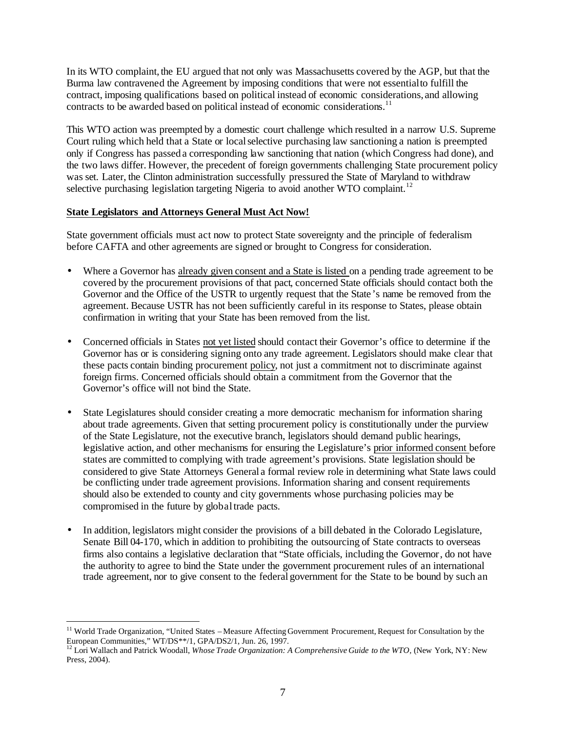In its WTO complaint, the EU argued that not only was Massachusetts covered by the AGP, but that the Burma law contravened the Agreement by imposing conditions that were not essentialto fulfill the contract, imposing qualifications based on political instead of economic considerations, and allowing contracts to be awarded based on political instead of economic considerations.<sup>11</sup>

This WTO action was preempted by a domestic court challenge which resulted in a narrow U.S. Supreme Court ruling which held that a State or localselective purchasing law sanctioning a nation is preempted only if Congress has passed a corresponding law sanctioning that nation (which Congress had done), and the two laws differ. However, the precedent of foreign governments challenging State procurement policy was set. Later, the Clinton administration successfully pressured the State of Maryland to withdraw selective purchasing legislation targeting Nigeria to avoid another WTO complaint.<sup>12</sup>

## **State Legislators and Attorneys General Must Act Now!**

 $\overline{a}$ 

State government officials must act now to protect State sovereignty and the principle of federalism before CAFTA and other agreements are signed or brought to Congress for consideration.

- Where a Governor has already given consent and a State is listed on a pending trade agreement to be covered by the procurement provisions of that pact, concerned State officials should contact both the Governor and the Office of the USTR to urgently request that the State 's name be removed from the agreement. Because USTR has not been sufficiently careful in its response to States, please obtain confirmation in writing that your State has been removed from the list.
- Concerned officials in States not yet listed should contact their Governor's office to determine if the Governor has or is considering signing onto any trade agreement. Legislators should make clear that these pacts contain binding procurement policy, not just a commitment not to discriminate against foreign firms. Concerned officials should obtain a commitment from the Governor that the Governor's office will not bind the State.
- State Legislatures should consider creating a more democratic mechanism for information sharing about trade agreements. Given that setting procurement policy is constitutionally under the purview of the State Legislature, not the executive branch, legislators should demand public hearings, legislative action, and other mechanisms for ensuring the Legislature's prior informed consent before states are committed to complying with trade agreement's provisions. State legislation should be considered to give State Attorneys General a formal review role in determining what State laws could be conflicting under trade agreement provisions. Information sharing and consent requirements should also be extended to county and city governments whose purchasing policies may be compromised in the future by globaltrade pacts.
- In addition, legislators might consider the provisions of a bill debated in the Colorado Legislature, Senate Bill 04-170, which in addition to prohibiting the outsourcing of State contracts to overseas firms also contains a legislative declaration that "State officials, including the Governor, do not have the authority to agree to bind the State under the government procurement rules of an international trade agreement, nor to give consent to the federal government for the State to be bound by such an

<sup>&</sup>lt;sup>11</sup> World Trade Organization, "United States – Measure Affecting Government Procurement, Request for Consultation by the European Communities," WT/DS\*\*/1, GPA/DS2/1, Jun. 26, 1997.

<sup>12</sup> Lori Wallach and Patrick Woodall, *Whose Trade Organization: A Comprehensive Guide to the WTO,* (New York, NY: New Press, 2004).